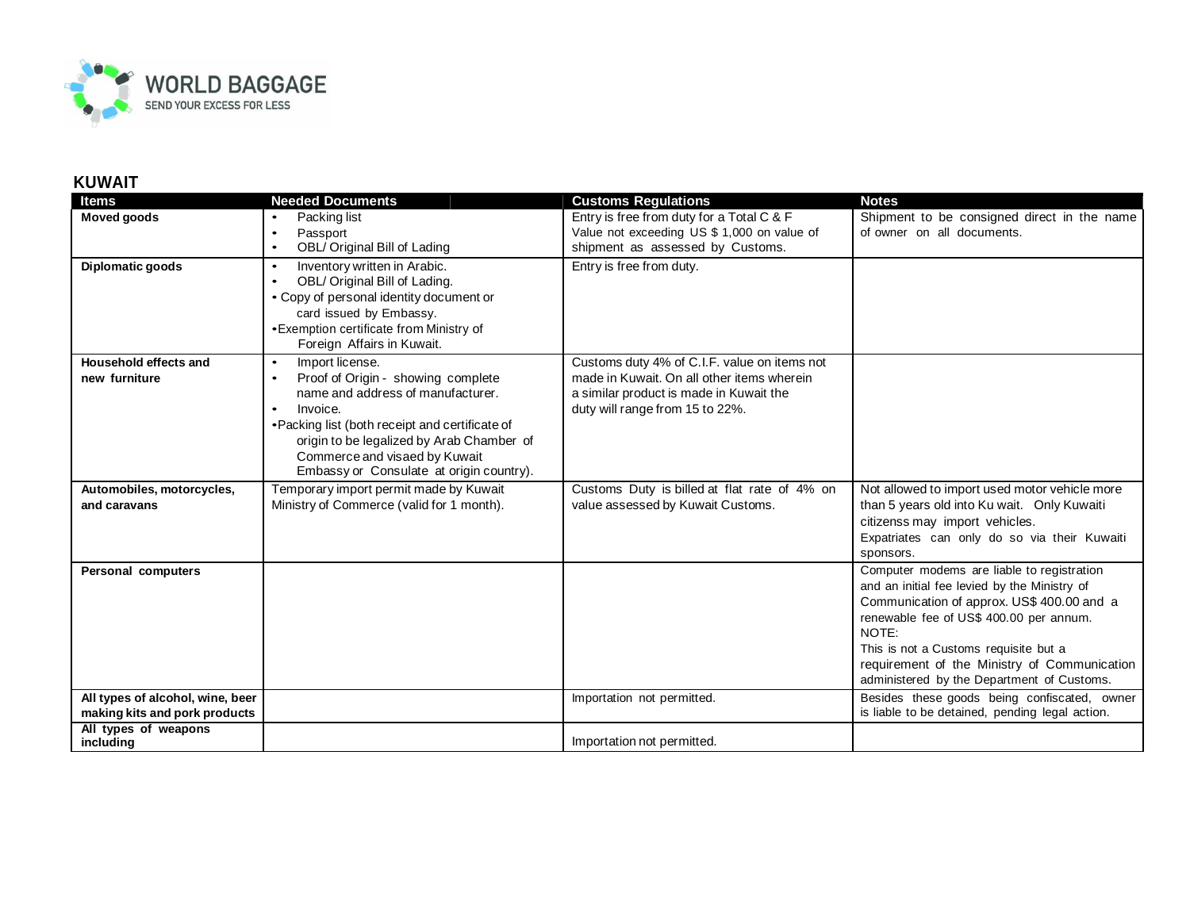

## **KUWAIT**

| <b>Items</b>                                                      | <b>Needed Documents</b>                                                                                                                                                                                                                                                                                       | <b>Customs Regulations</b>                                                                                                                                               | <b>Notes</b>                                                                                                                                                                                                                                                                                                                        |
|-------------------------------------------------------------------|---------------------------------------------------------------------------------------------------------------------------------------------------------------------------------------------------------------------------------------------------------------------------------------------------------------|--------------------------------------------------------------------------------------------------------------------------------------------------------------------------|-------------------------------------------------------------------------------------------------------------------------------------------------------------------------------------------------------------------------------------------------------------------------------------------------------------------------------------|
| <b>Moved goods</b>                                                | Packing list<br>Passport<br>$\bullet$<br>OBL/ Original Bill of Lading<br>$\bullet$                                                                                                                                                                                                                            | Entry is free from duty for a Total C & F<br>Value not exceeding US \$ 1,000 on value of<br>shipment as assessed by Customs.                                             | Shipment to be consigned direct in the name<br>of owner on all documents.                                                                                                                                                                                                                                                           |
| Diplomatic goods                                                  | Inventory written in Arabic.<br>$\bullet$<br>OBL/ Original Bill of Lading.<br>$\bullet$<br>• Copy of personal identity document or<br>card issued by Embassy.<br>• Exemption certificate from Ministry of<br>Foreign Affairs in Kuwait.                                                                       | Entry is free from duty.                                                                                                                                                 |                                                                                                                                                                                                                                                                                                                                     |
| Household effects and<br>new furniture                            | Import license.<br>$\bullet$<br>Proof of Origin - showing complete<br>name and address of manufacturer.<br>Invoice.<br>$\bullet$<br>• Packing list (both receipt and certificate of<br>origin to be legalized by Arab Chamber of<br>Commerce and visaed by Kuwait<br>Embassy or Consulate at origin country). | Customs duty 4% of C.I.F. value on items not<br>made in Kuwait. On all other items wherein<br>a similar product is made in Kuwait the<br>duty will range from 15 to 22%. |                                                                                                                                                                                                                                                                                                                                     |
| Automobiles, motorcycles,<br>and caravans                         | Temporary import permit made by Kuwait<br>Ministry of Commerce (valid for 1 month).                                                                                                                                                                                                                           | Customs Duty is billed at flat rate of 4% on<br>value assessed by Kuwait Customs.                                                                                        | Not allowed to import used motor vehicle more<br>than 5 years old into Ku wait. Only Kuwaiti<br>citizenss may import vehicles.<br>Expatriates can only do so via their Kuwaiti<br>sponsors.                                                                                                                                         |
| Personal computers                                                |                                                                                                                                                                                                                                                                                                               |                                                                                                                                                                          | Computer modems are liable to registration<br>and an initial fee levied by the Ministry of<br>Communication of approx. US\$ 400.00 and a<br>renewable fee of US\$ 400.00 per annum.<br>NOTE:<br>This is not a Customs requisite but a<br>requirement of the Ministry of Communication<br>administered by the Department of Customs. |
| All types of alcohol, wine, beer<br>making kits and pork products |                                                                                                                                                                                                                                                                                                               | Importation not permitted.                                                                                                                                               | Besides these goods being confiscated, owner<br>is liable to be detained, pending legal action.                                                                                                                                                                                                                                     |
| All types of weapons<br>including                                 |                                                                                                                                                                                                                                                                                                               | Importation not permitted.                                                                                                                                               |                                                                                                                                                                                                                                                                                                                                     |